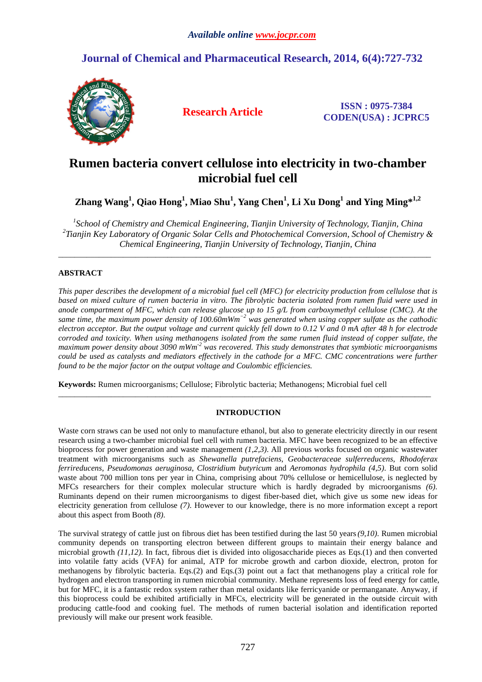# **Journal of Chemical and Pharmaceutical Research, 2014, 6(4):727-732**



**Research Article ISSN : 0975-7384 CODEN(USA) : JCPRC5**

# **Rumen bacteria convert cellulose into electricity in two-chamber microbial fuel cell**

**Zhang Wang<sup>1</sup> , Qiao Hong<sup>1</sup> , Miao Shu<sup>1</sup> , Yang Chen<sup>1</sup> , Li Xu Dong<sup>1</sup> and Ying Ming\*1,2** 

<sup>1</sup> School of Chemistry and Chemical Engineering, Tianjin University of Technology, Tianjin, China *2 Tianjin Key Laboratory of Organic Solar Cells and Photochemical Conversion, School of Chemistry & Chemical Engineering, Tianjin University of Technology, Tianjin, China* 

 $\overline{\phantom{a}}$  , and the set of the set of the set of the set of the set of the set of the set of the set of the set of the set of the set of the set of the set of the set of the set of the set of the set of the set of the s

## **ABSTRACT**

*This paper describes the development of a microbial fuel cell (MFC) for electricity production from cellulose that is based on mixed culture of rumen bacteria in vitro. The fibrolytic bacteria isolated from rumen fluid were used in anode compartment of MFC, which can release glucose up to 15 g/L from carboxymethyl cellulose (CMC). At the same time, the maximum power density of 100.60mWm−2 was generated when using copper sulfate as the cathodic electron acceptor. But the output voltage and current quickly fell down to 0.12 V and 0 mA after 48 h for electrode corroded and toxicity. When using methanogens isolated from the same rumen fluid instead of copper sulfate, the maximum power density about 3090 mWm-2 was recovered. This study demonstrates that symbiotic microorganisms could be used as catalysts and mediators effectively in the cathode for a MFC. CMC concentrations were further found to be the major factor on the output voltage and Coulombic efficiencies.* 

**Keywords:** Rumen microorganisms; Cellulose; Fibrolytic bacteria; Methanogens; Microbial fuel cell

## **INTRODUCTION**

 $\overline{\phantom{a}}$  , and the contribution of the contribution of the contribution of the contribution of the contribution of the contribution of the contribution of the contribution of the contribution of the contribution of the

Waste corn straws can be used not only to manufacture ethanol, but also to generate electricity directly in our resent research using a two-chamber microbial fuel cell with rumen bacteria. MFC have been recognized to be an effective bioprocess for power generation and waste management *(1,2,3)*. All previous works focused on organic wastewater treatment with microorganisms such as *Shewanella putrefaciens*, *Geobacteraceae sulferreducens*, *Rhodoferax ferrireducens, Pseudomonas aeruginosa*, *Clostridium butyricum* and *Aeromonas hydrophila (4,5)*. But corn solid waste about 700 million tons per year in China, comprising about 70% cellulose or hemicellulose, is neglected by MFCs researchers for their complex molecular structure which is hardly degraded by microorganisms *(6)*. Ruminants depend on their rumen microorganisms to digest fiber-based diet, which give us some new ideas for electricity generation from cellulose *(7)*. However to our knowledge, there is no more information except a report about this aspect from Booth *(8)*.

The survival strategy of cattle just on fibrous diet has been testified during the last 50 years*(9,10)*. Rumen microbial community depends on transporting electron between different groups to maintain their energy balance and microbial growth *(11,12)*. In fact, fibrous diet is divided into oligosaccharide pieces as Eqs.(1) and then converted into volatile fatty acids (VFA) for animal, ATP for microbe growth and carbon dioxide, electron, proton for methanogens by fibrolytic bacteria. Eqs.(2) and Eqs.(3) point out a fact that methanogens play a critical role for hydrogen and electron transporting in rumen microbial community. Methane represents loss of feed energy for cattle, but for MFC, it is a fantastic redox system rather than metal oxidants like ferricyanide or permanganate. Anyway, if this bioprocess could be exhibited artificially in MFCs, electricity will be generated in the outside circuit with producing cattle-food and cooking fuel. The methods of rumen bacterial isolation and identification reported previously will make our present work feasible.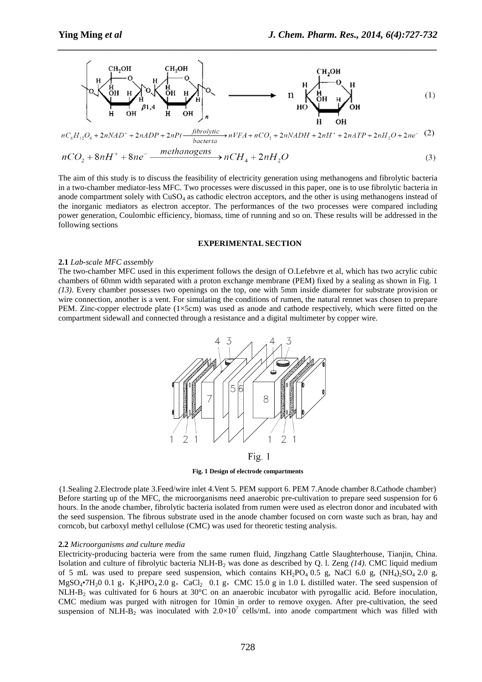

*\_\_\_\_\_\_\_\_\_\_\_\_\_\_\_\_\_\_\_\_\_\_\_\_\_\_\_\_\_\_\_\_\_\_\_\_\_\_\_\_\_\_\_\_\_\_\_\_\_\_\_\_\_\_\_\_\_\_\_\_\_\_\_\_\_\_\_\_\_\_\_\_\_\_\_\_\_\_*

$$
nC_6H_{12}O_6 + 2nNAD^+ + 2nADP + 2nPi \frac{\hat{f}^{i}brobytic}{bacteria} \rightarrow nVFA + nCO_2 + 2nNADH + 2nH^+ + 2nATP + 2nH_2O + 2ne^{\{-2\}}
$$

$$
nCO_2 + 8nH^+ + 8ne^- \xrightarrow{\text{memanogens}} nCH_4 + 2nH_2O
$$
\n<sup>(3)</sup>

The aim of this study is to discuss the feasibility of electricity generation using methanogens and fibrolytic bacteria in a two-chamber mediator-less MFC. Two processes were discussed in this paper, one is to use fibrolytic bacteria in anode compartment solely with CuSO<sub>4</sub> as cathodic electron acceptors, and the other is using methanogens instead of the inorganic mediators as electron acceptor. The performances of the two processes were compared including power generation, Coulombic efficiency, biomass, time of running and so on. These results will be addressed in the following sections

#### **EXPERIMENTAL SECTION**

#### **2.1** *Lab-scale MFC assembly*

The two-chamber MFC used in this experiment follows the design of O.Lefebvre et al, which has two acrylic cubic chambers of 60mm width separated with a proton exchange membrane (PEM) fixed by a sealing as shown in Fig. 1 *(13)*. Every chamber possesses two openings on the top, one with 5mm inside diameter for substrate provision or wire connection, another is a vent. For simulating the conditions of rumen, the natural rennet was chosen to prepare PEM. Zinc-copper electrode plate  $(1\times5cm)$  was used as anode and cathode respectively, which were fitted on the compartment sidewall and connected through a resistance and a digital multimeter by copper wire.



**Fig. 1 Design of electrode compartments** 

(1.Sealing 2.Electrode plate 3.Feed/wire inlet 4.Vent 5. PEM support 6. PEM 7.Anode chamber 8.Cathode chamber) Before starting up of the MFC, the microorganisms need anaerobic pre-cultivation to prepare seed suspension for 6 hours. In the anode chamber, fibrolytic bacteria isolated from rumen were used as electron donor and incubated with the seed suspension. The fibrous substrate used in the anode chamber focused on corn waste such as bran, hay and corncob, but carboxyl methyl cellulose (CMC) was used for theoretic testing analysis.

#### **2.2** *Microorganisms and culture media*

Electricity-producing bacteria were from the same rumen fluid, Jingzhang Cattle Slaughterhouse, Tianjin, China. Isolation and culture of fibrolytic bacteria NLH-B2 was done as described by Q. l. Zeng *(14)*. CMC liquid medium of 5 mL was used to prepare seed suspension, which contains  $KH_2PO_4$  0.5 g, NaCl 6.0 g,  $(NH_4)$ <sub>2</sub>SO<sub>4</sub> 2.0 g,  $MgSO_4\bullet 7H_20$  0.1 g, K<sub>2</sub>HPO<sub>4</sub> 2.0 g, CaCl<sub>2</sub> 0.1 g, CMC 15.0 g in 1.0 L distilled water. The seed suspension of NLH-B2 was cultivated for 6 hours at 30°C on an anaerobic incubator with pyrogallic acid. Before inoculation, CMC medium was purged with nitrogen for 10min in order to remove oxygen. After pre-cultivation, the seed suspension of NLH- $B_2$  was inoculated with  $2.0 \times 10^7$  cells/mL into anode compartment which was filled with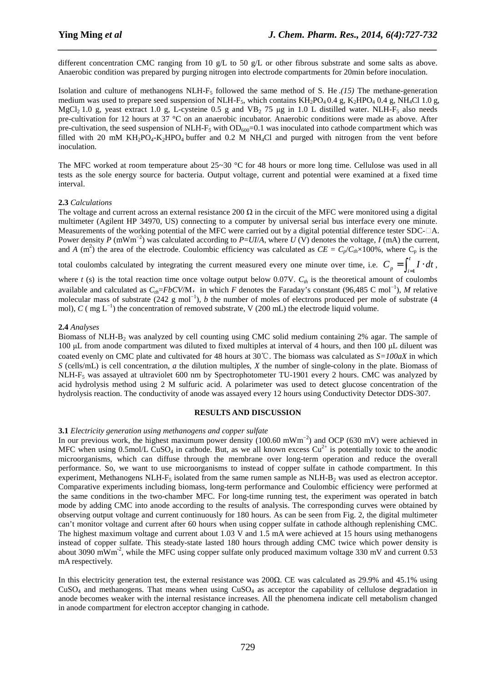different concentration CMC ranging from 10 g/L to 50 g/L or other fibrous substrate and some salts as above. Anaerobic condition was prepared by purging nitrogen into electrode compartments for 20min before inoculation.

*\_\_\_\_\_\_\_\_\_\_\_\_\_\_\_\_\_\_\_\_\_\_\_\_\_\_\_\_\_\_\_\_\_\_\_\_\_\_\_\_\_\_\_\_\_\_\_\_\_\_\_\_\_\_\_\_\_\_\_\_\_\_\_\_\_\_\_\_\_\_\_\_\_\_\_\_\_\_*

Isolation and culture of methanogens NLH-F5 followed the same method of S. He .*(15)* The methane-generation medium was used to prepare seed suspension of NLH-F<sub>5</sub>, which contains KH<sub>2</sub>PO<sub>4</sub> 0.4 g, K<sub>2</sub>HPO<sub>4</sub> 0.4 g, NH<sub>4</sub>Cl 1.0 g, MgCl<sub>2</sub> 1.0 g, yeast extract 1.0 g, L-cysteine 0.5 g and VB<sub>2</sub> 75 µg in 1.0 L distilled water. NLH-F<sub>5</sub> also needs pre-cultivation for 12 hours at 37 °C on an anaerobic incubator. Anaerobic conditions were made as above. After pre-cultivation, the seed suspension of NLH- $F_5$  with  $OD_{600}=0.1$  was inoculated into cathode compartment which was filled with 20 mM  $KH_2PO_4-K_2HPO_4$  buffer and 0.2 M NH<sub>4</sub>Cl and purged with nitrogen from the vent before inoculation.

The MFC worked at room temperature about 25~30 °C for 48 hours or more long time. Cellulose was used in all tests as the sole energy source for bacteria. Output voltage, current and potential were examined at a fixed time interval.

## **2.3** *Calculations*

The voltage and current across an external resistance 200  $\Omega$  in the circuit of the MFC were monitored using a digital multimeter (Agilent HP 34970, US) connecting to a computer by universal serial bus interface every one minute. Measurements of the working potential of the MFC were carried out by a digital potential difference tester SDC-□A. Power density *P* (mWm−2) was calculated according to *P*=*UI*/*A*, where *U* (V) denotes the voltage, *I* (mA) the current, and *A* (m<sup>2</sup>) the area of the electrode. Coulombic efficiency was calculated as  $CE = C_p/C_{th} \times 100\%$ , where  $C_p$  is the

total coulombs calculated by integrating the current measured every one minute over time, i.e.  $C_p = \int_{i=1}^{n}$ *t*  $C_p = \int_{i=1}^{i} I \cdot dt$ ,

where  $t$  (s) is the total reaction time once voltage output below 0.07V.  $C_{th}$  is the theoretical amount of coulombs available and calculated as  $C_{th}$ =*FbCV/M*, in which *F* denotes the Faraday's constant (96,485 C mol<sup>-1</sup>), *M* relative molecular mass of substrate (242 g mol−1), *b* the number of moles of electrons produced per mole of substrate (4 mol), *C* ( mg  $L^{-1}$ ) the concentration of removed substrate, V (200 mL) the electrode liquid volume.

## **2.4** *Analyses*

Biomass of NLH-B<sub>2</sub> was analyzed by cell counting using CMC solid medium containing 2% agar. The sample of 100 µL from anode compartment was diluted to fixed multiples at interval of 4 hours, and then 100 µL diluent was coated evenly on CMC plate and cultivated for 48 hours at 30℃. The biomass was calculated as *S=100aX* in which *S* (cells/mL) is cell concentration, *a* the dilution multiples, *X* the number of single-colony in the plate. Biomass of NLH-F5 was assayed at ultraviolet 600 nm by Spectrophotometer TU-1901 every 2 hours. CMC was analyzed by acid hydrolysis method using 2 M sulfuric acid. A polarimeter was used to detect glucose concentration of the hydrolysis reaction. The conductivity of anode was assayed every 12 hours using Conductivity Detector DDS-307.

## **RESULTS AND DISCUSSION**

## **3.1** *Electricity generation using methanogens and copper sulfate*

In our previous work, the highest maximum power density (100.60 mWm−2) and OCP (630 mV) were achieved in MFC when using  $0.5$ mol/L CuSO<sub>4</sub> in cathode. But, as we all known excess Cu<sup>2+</sup> is potentially toxic to the anodic microorganisms, which can diffuse through the membrane over long-term operation and reduce the overall performance. So, we want to use microorganisms to instead of copper sulfate in cathode compartment. In this experiment. Methanogens NLH-F<sub>5</sub> isolated from the same rumen sample as NLH-B<sub>2</sub> was used as electron acceptor. Comparative experiments including biomass, long-term performance and Coulombic efficiency were performed at the same conditions in the two-chamber MFC. For long-time running test, the experiment was operated in batch mode by adding CMC into anode according to the results of analysis. The corresponding curves were obtained by observing output voltage and current continuously for 180 hours. As can be seen from Fig. 2, the digital multimeter can't monitor voltage and current after 60 hours when using copper sulfate in cathode although replenishing CMC. The highest maximum voltage and current about 1.03 V and 1.5 mA were achieved at 15 hours using methanogens instead of copper sulfate. This steady-state lasted 180 hours through adding CMC twice which power density is about 3090 mWm<sup>-2</sup>, while the MFC using copper sulfate only produced maximum voltage 330 mV and current 0.53 mA respectively.

In this electricity generation test, the external resistance was 200Ω. CE was calculated as 29.9% and 45.1% using  $CuSO<sub>4</sub>$  and methanogens. That means when using  $CuSO<sub>4</sub>$  as acceptor the capability of cellulose degradation in anode becomes weaker with the internal resistance increases. All the phenomena indicate cell metabolism changed in anode compartment for electron acceptor changing in cathode.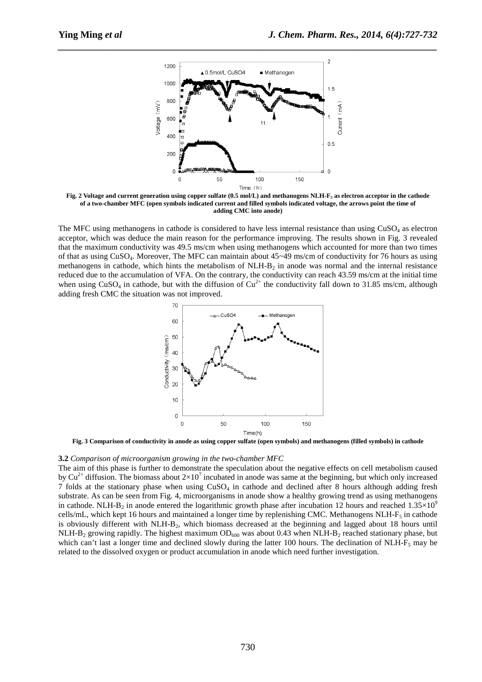

*\_\_\_\_\_\_\_\_\_\_\_\_\_\_\_\_\_\_\_\_\_\_\_\_\_\_\_\_\_\_\_\_\_\_\_\_\_\_\_\_\_\_\_\_\_\_\_\_\_\_\_\_\_\_\_\_\_\_\_\_\_\_\_\_\_\_\_\_\_\_\_\_\_\_\_\_\_\_*

**Fig. 2 Voltage and current generation using copper sulfate (0.5 mol/L) and methanogens NLH-F5 as electron acceptor in the cathode of a two-chamber MFC (open symbols indicated current and filled symbols indicated voltage, the arrows point the time of adding CMC into anode)** 

The MFC using methanogens in cathode is considered to have less internal resistance than using  $CuSO<sub>4</sub>$  as electron acceptor, which was deduce the main reason for the performance improving. The results shown in Fig. 3 revealed that the maximum conductivity was 49.5 ms/cm when using methanogens which accounted for more than two times of that as using CuSO4. Moreover, The MFC can maintain about 45~49 ms/cm of conductivity for 76 hours as using methanogens in cathode, which hints the metabolism of  $N L H - B<sub>2</sub>$  in anode was normal and the internal resistance reduced due to the accumulation of VFA. On the contrary, the conductivity can reach 43.59 ms/cm at the initial time when using CuSO<sub>4</sub> in cathode, but with the diffusion of Cu<sup>2+</sup> the conductivity fall down to 31.85 ms/cm, although adding fresh CMC the situation was not improved.



**Fig. 3 Comparison of conductivity in anode as using copper sulfate (open symbols) and methanogens (filled symbols) in cathode** 

#### **3.2** *Comparison of microorganism growing in the two-chamber MFC*

The aim of this phase is further to demonstrate the speculation about the negative effects on cell metabolism caused by Cu<sup>2+</sup> diffusion. The biomass about  $2\times10^7$  incubated in anode was same at the beginning, but which only increased 7 folds at the stationary phase when using  $CuSO<sub>4</sub>$  in cathode and declined after 8 hours although adding fresh substrate. As can be seen from Fig. 4, microorganisms in anode show a healthy growing trend as using methanogens in cathode. NLH-B<sub>2</sub> in anode entered the logarithmic growth phase after incubation 12 hours and reached  $1.35\times10^9$ cells/mL, which kept 16 hours and maintained a longer time by replenishing CMC. Methanogens NLH- $F_5$  in cathode is obviously different with NLH-B<sub>2</sub>, which biomass decreased at the beginning and lagged about 18 hours until NLH-B<sub>2</sub> growing rapidly. The highest maximum  $OD_{600}$  was about 0.43 when NLH-B<sub>2</sub> reached stationary phase, but which can't last a longer time and declined slowly during the latter 100 hours. The declination of NLH- $F_5$  may be related to the dissolved oxygen or product accumulation in anode which need further investigation.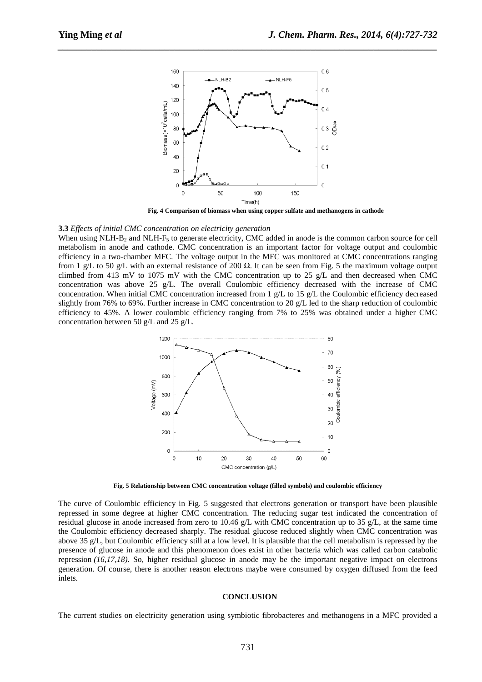

*\_\_\_\_\_\_\_\_\_\_\_\_\_\_\_\_\_\_\_\_\_\_\_\_\_\_\_\_\_\_\_\_\_\_\_\_\_\_\_\_\_\_\_\_\_\_\_\_\_\_\_\_\_\_\_\_\_\_\_\_\_\_\_\_\_\_\_\_\_\_\_\_\_\_\_\_\_\_*

 **Fig. 4 Comparison of biomass when using copper sulfate and methanogens in cathode** 

#### **3.3** *Effects of initial CMC concentration on electricity generation*

When using NLH-B<sub>2</sub> and NLH-F<sub>5</sub> to generate electricity, CMC added in anode is the common carbon source for cell metabolism in anode and cathode. CMC concentration is an important factor for voltage output and coulombic efficiency in a two-chamber MFC. The voltage output in the MFC was monitored at CMC concentrations ranging from 1 g/L to 50 g/L with an external resistance of 200  $\Omega$ . It can be seen from Fig. 5 the maximum voltage output climbed from 413 mV to 1075 mV with the CMC concentration up to 25 g/L and then decreased when CMC concentration was above 25 g/L. The overall Coulombic efficiency decreased with the increase of CMC concentration. When initial CMC concentration increased from 1 g/L to 15 g/L the Coulombic efficiency decreased slightly from 76% to 69%. Further increase in CMC concentration to 20 g/L led to the sharp reduction of coulombic efficiency to 45%. A lower coulombic efficiency ranging from 7% to 25% was obtained under a higher CMC concentration between 50 g/L and 25 g/L.



**Fig. 5 Relationship between CMC concentration voltage (filled symbols) and coulombic efficiency** 

The curve of Coulombic efficiency in Fig. 5 suggested that electrons generation or transport have been plausible repressed in some degree at higher CMC concentration. The reducing sugar test indicated the concentration of residual glucose in anode increased from zero to 10.46 g/L with CMC concentration up to 35 g/L, at the same time the Coulombic efficiency decreased sharply. The residual glucose reduced slightly when CMC concentration was above 35 g/L, but Coulombic efficiency still at a low level. It is plausible that the cell metabolism is repressed by the presence of glucose in anode and this phenomenon does exist in other bacteria which was called carbon catabolic repression *(16,17,18)*. So, higher residual glucose in anode may be the important negative impact on electrons generation. Of course, there is another reason electrons maybe were consumed by oxygen diffused from the feed inlets.

#### **CONCLUSION**

The current studies on electricity generation using symbiotic fibrobacteres and methanogens in a MFC provided a